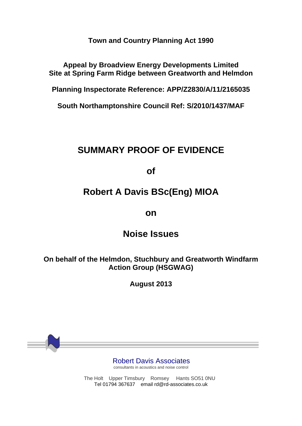**Town and Country Planning Act 1990**

**Appeal by Broadview Energy Developments Limited Site at Spring Farm Ridge between Greatworth and Helmdon**

**Planning Inspectorate Reference: APP/Z2830/A/11/2165035**

**South Northamptonshire Council Ref: S/2010/1437/MAF**

## **SUMMARY PROOF OF EVIDENCE**

**of**

## **Robert A Davis BSc(Eng) MIOA**

## **on**

## **Noise Issues**

**On behalf of the Helmdon, Stuchbury and Greatworth Windfarm Action Group (HSGWAG)** 

**August 2013**

Robert Davis Associates

consultants in acoustics and noise control

The Holt Upper Timsbury Romsey Hants SO51 0NU Tel 01794 367637 email rd@rd-associates.co.uk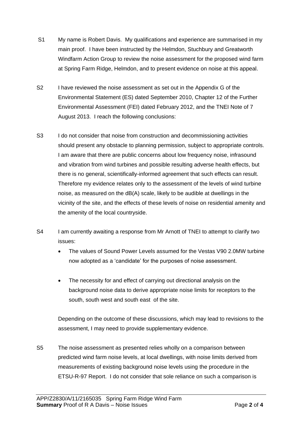- S1 My name is Robert Davis. My qualifications and experience are summarised in my main proof. I have been instructed by the Helmdon, Stuchbury and Greatworth Windfarm Action Group to review the noise assessment for the proposed wind farm at Spring Farm Ridge, Helmdon, and to present evidence on noise at this appeal.
- S2 I have reviewed the noise assessment as set out in the Appendix G of the Environmental Statement (ES) dated September 2010, Chapter 12 of the Further Environmental Assessment (FEI) dated February 2012, and the TNEI Note of 7 August 2013. I reach the following conclusions:
- S3 I do not consider that noise from construction and decommissioning activities should present any obstacle to planning permission, subject to appropriate controls. I am aware that there are public concerns about low frequency noise, infrasound and vibration from wind turbines and possible resulting adverse health effects, but there is no general, scientifically-informed agreement that such effects can result. Therefore my evidence relates only to the assessment of the levels of wind turbine noise, as measured on the dB(A) scale, likely to be audible at dwellings in the vicinity of the site, and the effects of these levels of noise on residential amenity and the amenity of the local countryside.
- S4 I am currently awaiting a response from Mr Arnott of TNEI to attempt to clarify two issues:
	- The values of Sound Power Levels assumed for the Vestas V90 2.0MW turbine now adopted as a 'candidate' for the purposes of noise assessment.
	- The necessity for and effect of carrying out directional analysis on the background noise data to derive appropriate noise limits for receptors to the south, south west and south east of the site.

Depending on the outcome of these discussions, which may lead to revisions to the assessment, I may need to provide supplementary evidence.

S5 The noise assessment as presented relies wholly on a comparison between predicted wind farm noise levels, at local dwellings, with noise limits derived from measurements of existing background noise levels using the procedure in the ETSU-R-97 Report. I do not consider that sole reliance on such a comparison is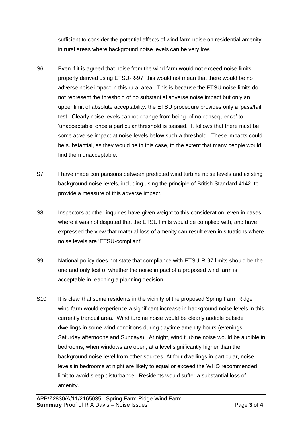sufficient to consider the potential effects of wind farm noise on residential amenity in rural areas where background noise levels can be very low.

- S6 Even if it is agreed that noise from the wind farm would not exceed noise limits properly derived using ETSU-R-97, this would not mean that there would be no adverse noise impact in this rural area. This is because the ETSU noise limits do not represent the threshold of no substantial adverse noise impact but only an upper limit of absolute acceptability: the ETSU procedure provides only a 'pass/fail' test. Clearly noise levels cannot change from being 'of no consequence' to 'unacceptable' once a particular threshold is passed. It follows that there must be some adverse impact at noise levels below such a threshold. These impacts could be substantial, as they would be in this case, to the extent that many people would find them unacceptable.
- S7 I have made comparisons between predicted wind turbine noise levels and existing background noise levels, including using the principle of British Standard 4142, to provide a measure of this adverse impact.
- S8 Inspectors at other inquiries have given weight to this consideration, even in cases where it was not disputed that the ETSU limits would be complied with, and have expressed the view that material loss of amenity can result even in situations where noise levels are 'ETSU-compliant'.
- S9 National policy does not state that compliance with ETSU-R-97 limits should be the one and only test of whether the noise impact of a proposed wind farm is acceptable in reaching a planning decision.
- S10 It is clear that some residents in the vicinity of the proposed Spring Farm Ridge wind farm would experience a significant increase in background noise levels in this currently tranquil area. Wind turbine noise would be clearly audible outside dwellings in some wind conditions during daytime amenity hours (evenings, Saturday afternoons and Sundays). At night, wind turbine noise would be audible in bedrooms, when windows are open, at a level significantly higher than the background noise level from other sources. At four dwellings in particular, noise levels in bedrooms at night are likely to equal or exceed the WHO recommended limit to avoid sleep disturbance. Residents would suffer a substantial loss of amenity.